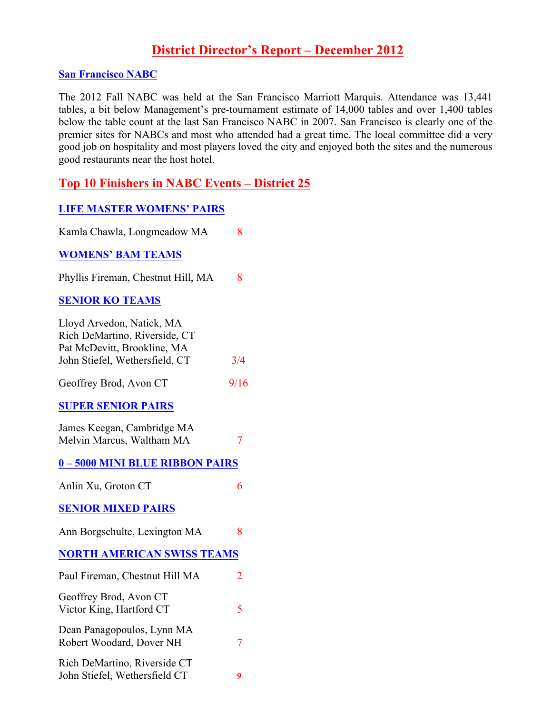# **District Director's Report – December 2012**

#### **San Francisco NABC**

The 2012 Fall NABC was held at the San Francisco Marriott Marquis. Attendance was 13,441 tables, a bit below Management's pre-tournament estimate of 14,000 tables and over 1,400 tables below the table count at the last San Francisco NABC in 2007. San Francisco is clearly one of the premier sites for NABCs and most who attended had a great time. The local committee did a very good job on hospitality and most players loved the city and enjoyed both the sites and the numerous good restaurants near the host hotel.

### **Top 10 Finishers in NABC Events – District 25**

#### **LIFE MASTER WOMENS' PAIRS**

| Kamla Chawla, Longmeadow MA                                                                                                 | 8              |
|-----------------------------------------------------------------------------------------------------------------------------|----------------|
| <b>WOMENS' BAM TEAMS</b>                                                                                                    |                |
| Phyllis Fireman, Chestnut Hill, MA                                                                                          | 8              |
| <b>SENIOR KO TEAMS</b>                                                                                                      |                |
| Lloyd Arvedon, Natick, MA<br>Rich DeMartino, Riverside, CT<br>Pat McDevitt, Brookline, MA<br>John Stiefel, Wethersfield, CT | 3/4            |
| Geoffrey Brod, Avon CT                                                                                                      | 9/16           |
| <b>SUPER SENIOR PAIRS</b>                                                                                                   |                |
| James Keegan, Cambridge MA<br>Melvin Marcus, Waltham MA                                                                     | $\overline{7}$ |
| 0-5000 MINI BLUE RIBBON PAIRS                                                                                               |                |
| Anlin Xu, Groton CT                                                                                                         | 6              |
| <b>SENIOR MIXED PAIRS</b>                                                                                                   |                |
| Ann Borgschulte, Lexington MA                                                                                               | 8              |
| <b>NORTH AMERICAN SWISS TEAMS</b>                                                                                           |                |
| Paul Fireman, Chestnut Hill MA                                                                                              | $\overline{2}$ |
| Geoffrey Brod, Avon CT<br>Victor King, Hartford CT                                                                          | 5              |
| Dean Panagopoulos, Lynn MA<br>Robert Woodard, Dover NH                                                                      | $\overline{7}$ |
| Rich DeMartino, Riverside CT<br>John Stiefel, Wethersfield CT                                                               | 9              |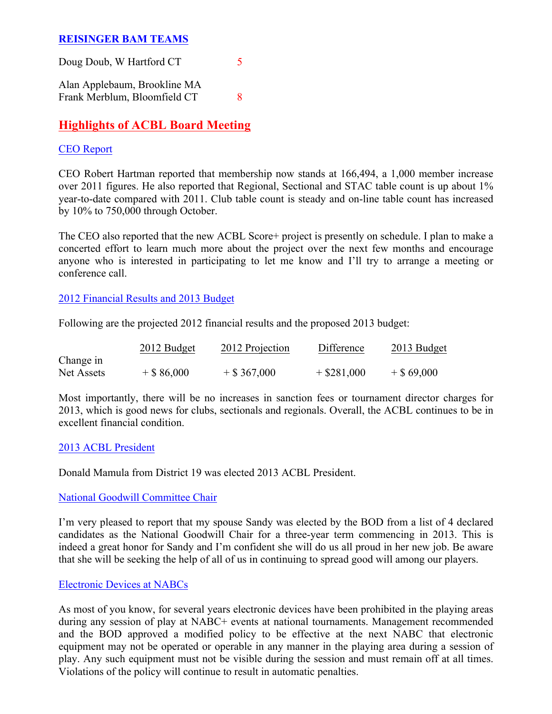### **REISINGER BAM TEAMS**

| Doug Doub, W Hartford CT     |   |
|------------------------------|---|
| Alan Applebaum, Brookline MA |   |
| Frank Merblum, Bloomfield CT | X |

## **Highlights of ACBL Board Meeting**

#### CEO Report

CEO Robert Hartman reported that membership now stands at 166,494, a 1,000 member increase over 2011 figures. He also reported that Regional, Sectional and STAC table count is up about 1% year-to-date compared with 2011. Club table count is steady and on-line table count has increased by 10% to 750,000 through October.

The CEO also reported that the new ACBL Score+ project is presently on schedule. I plan to make a concerted effort to learn much more about the project over the next few months and encourage anyone who is interested in participating to let me know and I'll try to arrange a meeting or conference call.

2012 Financial Results and 2013 Budget

Following are the projected 2012 financial results and the proposed 2013 budget:

|            | 2012 Budget   | 2012 Projection | Difference    | 2013 Budget  |
|------------|---------------|-----------------|---------------|--------------|
| Change in  |               |                 |               |              |
| Net Assets | $+$ \$ 86,000 | $+$ \$ 367,000  | $+$ \$281,000 | $+$ \$69,000 |

Most importantly, there will be no increases in sanction fees or tournament director charges for 2013, which is good news for clubs, sectionals and regionals. Overall, the ACBL continues to be in excellent financial condition.

#### 2013 ACBL President

Donald Mamula from District 19 was elected 2013 ACBL President.

#### National Goodwill Committee Chair

I'm very pleased to report that my spouse Sandy was elected by the BOD from a list of 4 declared candidates as the National Goodwill Chair for a three-year term commencing in 2013. This is indeed a great honor for Sandy and I'm confident she will do us all proud in her new job. Be aware that she will be seeking the help of all of us in continuing to spread good will among our players.

#### Electronic Devices at NABCs

As most of you know, for several years electronic devices have been prohibited in the playing areas during any session of play at NABC+ events at national tournaments. Management recommended and the BOD approved a modified policy to be effective at the next NABC that electronic equipment may not be operated or operable in any manner in the playing area during a session of play. Any such equipment must not be visible during the session and must remain off at all times. Violations of the policy will continue to result in automatic penalties.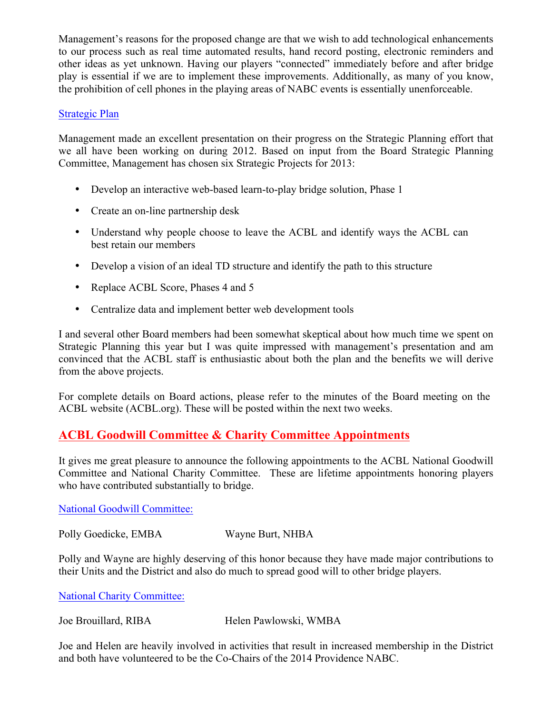Management's reasons for the proposed change are that we wish to add technological enhancements to our process such as real time automated results, hand record posting, electronic reminders and other ideas as yet unknown. Having our players "connected" immediately before and after bridge play is essential if we are to implement these improvements. Additionally, as many of you know, the prohibition of cell phones in the playing areas of NABC events is essentially unenforceable.

### Strategic Plan

Management made an excellent presentation on their progress on the Strategic Planning effort that we all have been working on during 2012. Based on input from the Board Strategic Planning Committee, Management has chosen six Strategic Projects for 2013:

- Develop an interactive web-based learn-to-play bridge solution, Phase 1
- Create an on-line partnership desk
- Understand why people choose to leave the ACBL and identify ways the ACBL can best retain our members
- Develop a vision of an ideal TD structure and identify the path to this structure
- Replace ACBL Score, Phases 4 and 5
- Centralize data and implement better web development tools

I and several other Board members had been somewhat skeptical about how much time we spent on Strategic Planning this year but I was quite impressed with management's presentation and am convinced that the ACBL staff is enthusiastic about both the plan and the benefits we will derive from the above projects.

For complete details on Board actions, please refer to the minutes of the Board meeting on the ACBL website (ACBL.org). These will be posted within the next two weeks.

## **ACBL Goodwill Committee & Charity Committee Appointments**

It gives me great pleasure to announce the following appointments to the ACBL National Goodwill Committee and National Charity Committee. These are lifetime appointments honoring players who have contributed substantially to bridge.

National Goodwill Committee:

Polly Goedicke, EMBA Wayne Burt, NHBA

Polly and Wayne are highly deserving of this honor because they have made major contributions to their Units and the District and also do much to spread good will to other bridge players. 

National Charity Committee:

Joe Brouillard, RIBA Helen Pawlowski, WMBA

Joe and Helen are heavily involved in activities that result in increased membership in the District and both have volunteered to be the Co-Chairs of the 2014 Providence NABC.